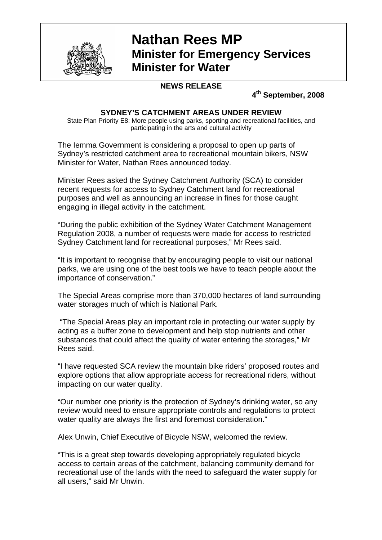

## **Nathan Rees MP Minister for Emergency Services Minister for Water**

## **NEWS RELEASE**

**4th September, 2008** 

## **SYDNEY'S CATCHMENT AREAS UNDER REVIEW**

State Plan Priority E8: More people using parks, sporting and recreational facilities, and participating in the arts and cultural activity

The Iemma Government is considering a proposal to open up parts of Sydney's restricted catchment area to recreational mountain bikers, NSW Minister for Water, Nathan Rees announced today.

Minister Rees asked the Sydney Catchment Authority (SCA) to consider recent requests for access to Sydney Catchment land for recreational purposes and well as announcing an increase in fines for those caught engaging in illegal activity in the catchment.

"During the public exhibition of the Sydney Water Catchment Management Regulation 2008, a number of requests were made for access to restricted Sydney Catchment land for recreational purposes," Mr Rees said.

"It is important to recognise that by encouraging people to visit our national parks, we are using one of the best tools we have to teach people about the importance of conservation."

The Special Areas comprise more than 370,000 hectares of land surrounding water storages much of which is National Park.

 "The Special Areas play an important role in protecting our water supply by acting as a buffer zone to development and help stop nutrients and other substances that could affect the quality of water entering the storages," Mr Rees said.

"I have requested SCA review the mountain bike riders' proposed routes and explore options that allow appropriate access for recreational riders, without impacting on our water quality.

"Our number one priority is the protection of Sydney's drinking water, so any review would need to ensure appropriate controls and regulations to protect water quality are always the first and foremost consideration."

Alex Unwin, Chief Executive of Bicycle NSW, welcomed the review.

"This is a great step towards developing appropriately regulated bicycle access to certain areas of the catchment, balancing community demand for recreational use of the lands with the need to safeguard the water supply for all users," said Mr Unwin.